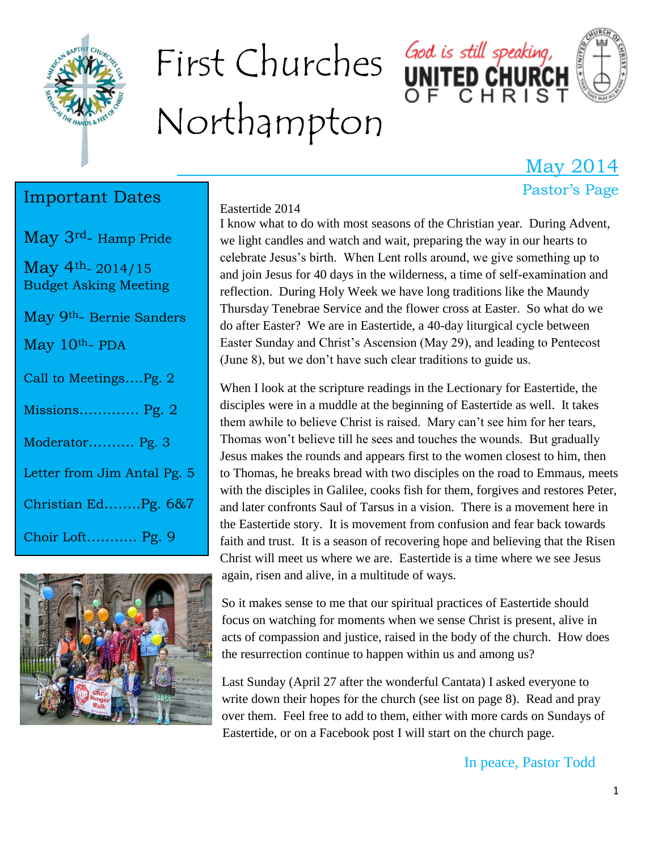

# First Churches God is still speaking, Northampton



#### May 2014 Pastor's Page

#### Important Dates

May 3rd- Hamp Pride

May 4th- 2014/15 Budget Asking Meeting

May 9th- Bernie Sanders

May 10<sup>th</sup>- PDA

| Call to MeetingsPg. 2       |
|-----------------------------|
| Missions Pg. 2              |
| Moderator Pg. 3             |
| Letter from Jim Antal Pg. 5 |
| Christian EdPg. 6&7         |
| Choir Loft Pg. 9            |



#### Eastertide 2014

I know what to do with most seasons of the Christian year. During Advent, we light candles and watch and wait, preparing the way in our hearts to celebrate Jesus's birth. When Lent rolls around, we give something up to and join Jesus for 40 days in the wilderness, a time of self-examination and reflection. During Holy Week we have long traditions like the Maundy Thursday Tenebrae Service and the flower cross at Easter. So what do we do after Easter? We are in Eastertide, a 40-day liturgical cycle between Easter Sunday and Christ's Ascension (May 29), and leading to Pentecost (June 8), but we don't have such clear traditions to guide us.

When I look at the scripture readings in the Lectionary for Eastertide, the disciples were in a muddle at the beginning of Eastertide as well. It takes them awhile to believe Christ is raised. Mary can't see him for her tears, Thomas won't believe till he sees and touches the wounds. But gradually Jesus makes the rounds and appears first to the women closest to him, then to Thomas, he breaks bread with two disciples on the road to Emmaus, meets with the disciples in Galilee, cooks fish for them, forgives and restores Peter, and later confronts Saul of Tarsus in a vision. There is a movement here in the Eastertide story. It is movement from confusion and fear back towards faith and trust. It is a season of recovering hope and believing that the Risen Christ will meet us where we are. Eastertide is a time where we see Jesus again, risen and alive, in a multitude of ways.

So it makes sense to me that our spiritual practices of Eastertide should focus on watching for moments when we sense Christ is present, alive in acts of compassion and justice, raised in the body of the church. How does the resurrection continue to happen within us and among us?

Last Sunday (April 27 after the wonderful Cantata) I asked everyone to write down their hopes for the church (see list on page 8). Read and pray over them. Feel free to add to them, either with more cards on Sundays of Eastertide, or on a Facebook post I will start on the church page.

In peace, Pastor Todd

#### 1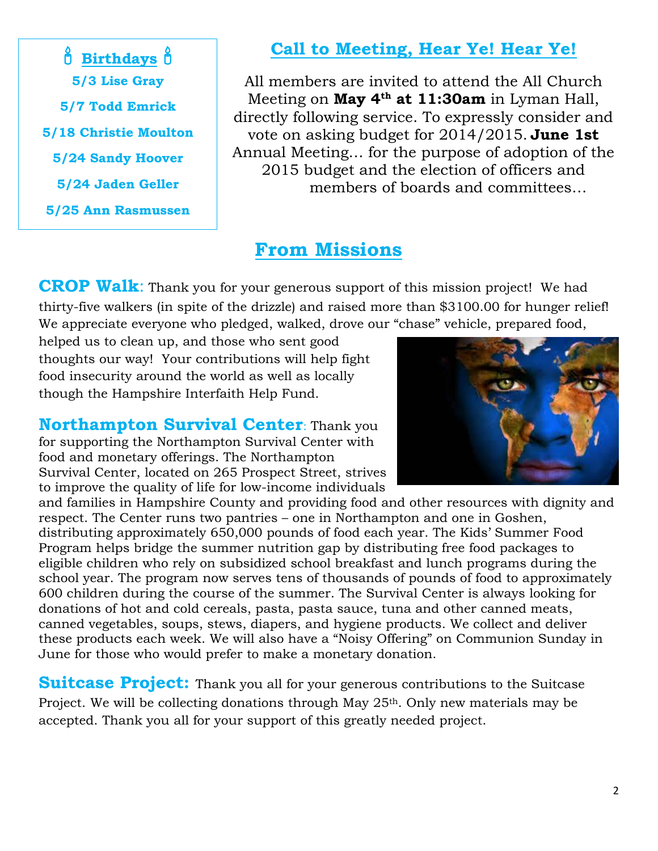**Birthdays b 5/3 Lise Gray 5/7 Todd Emrick 5/18 Christie Moulton 5/24 Sandy Hoover 5/24 Jaden Geller 5/25 Ann Rasmussen**

#### **Call to Meeting, Hear Ye! Hear Ye!**

All members are invited to attend the All Church Meeting on **May 4th at 11:30am** in Lyman Hall, directly following service. To expressly consider and vote on asking budget for 2014/2015. **June 1st** Annual Meeting… for the purpose of adoption of the 2015 budget and the election of officers and members of boards and committees…

#### **From Missions**

**CROP Walk:** Thank you for your generous support of this mission project! We had thirty-five walkers (in spite of the drizzle) and raised more than \$3100.00 for hunger relief! We appreciate everyone who pledged, walked, drove our "chase" vehicle, prepared food,

helped us to clean up, and those who sent good thoughts our way! Your contributions will help fight food insecurity around the world as well as locally though the Hampshire Interfaith Help Fund.

**Northampton Survival Center**: Thank you for supporting the Northampton Survival Center with food and monetary offerings. The Northampton Survival Center, located on 265 Prospect Street, strives to improve the quality of life for low-income individuals

and families in Hampshire County and providing food and other resources with dignity and respect. The Center runs two pantries – one in Northampton and one in Goshen, distributing approximately 650,000 pounds of food each year. The Kids' Summer Food Program helps bridge the summer nutrition gap by distributing free food packages to eligible children who rely on subsidized school breakfast and lunch programs during the school year. The program now serves tens of thousands of pounds of food to approximately 600 children during the course of the summer. The Survival Center is always looking for donations of hot and cold cereals, pasta, pasta sauce, tuna and other canned meats, canned vegetables, soups, stews, diapers, and hygiene products. We collect and deliver these products each week. We will also have a "Noisy Offering" on Communion Sunday in June for those who would prefer to make a monetary donation.

**Suitcase Project:** Thank you all for your generous contributions to the Suitcase Project. We will be collecting donations through May 25<sup>th</sup>. Only new materials may be accepted. Thank you all for your support of this greatly needed project.

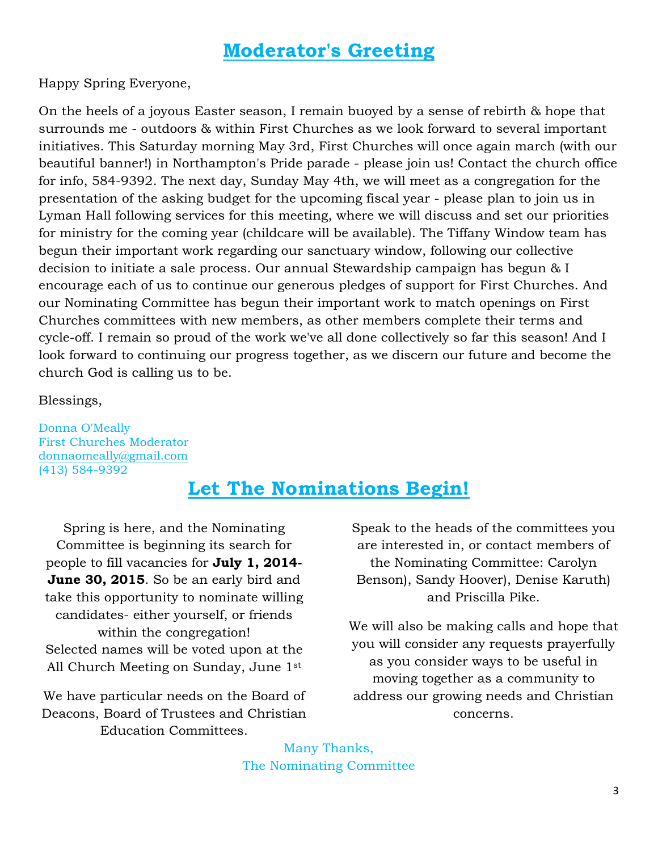#### **Moderator's Greeting**

Happy Spring Everyone,

On the heels of a joyous Easter season, I remain buoyed by a sense of rebirth & hope that surrounds me - outdoors & within First Churches as we look forward to several important initiatives. This Saturday morning May 3rd, First Churches will once again march (with our beautiful banner!) in Northampton's Pride parade - please join us! Contact the church office for info, 584-9392. The next day, Sunday May 4th, we will meet as a congregation for the presentation of the asking budget for the upcoming fiscal year - please plan to join us in Lyman Hall following services for this meeting, where we will discuss and set our priorities for ministry for the coming year (childcare will be available). The Tiffany Window team has begun their important work regarding our sanctuary window, following our collective decision to initiate a sale process. Our annual Stewardship campaign has begun & I encourage each of us to continue our generous pledges of support for First Churches. And our Nominating Committee has begun their important work to match openings on First Churches committees with new members, as other members complete their terms and cycle-off. I remain so proud of the work we've all done collectively so far this season! And I look forward to continuing our progress together, as we discern our future and become the church God is calling us to be.

Blessings,

Donna O'Meally First Churches Moderator [donnaomeally@gmail.com](mailto:donnaomeally@gmail.com) (413) 584-9392

#### **Let The Nominations Begin!**

Spring is here, and the Nominating Committee is beginning its search for people to fill vacancies for **July 1, 2014- June 30, 2015**. So be an early bird and take this opportunity to nominate willing candidates- either yourself, or friends within the congregation! Selected names will be voted upon at the All Church Meeting on Sunday, June 1st

We have particular needs on the Board of Deacons, Board of Trustees and Christian Education Committees.

Speak to the heads of the committees you are interested in, or contact members of the Nominating Committee: Carolyn Benson), Sandy Hoover), Denise Karuth) and Priscilla Pike.

We will also be making calls and hope that you will consider any requests prayerfully as you consider ways to be useful in moving together as a community to address our growing needs and Christian concerns.

Many Thanks, The Nominating Committee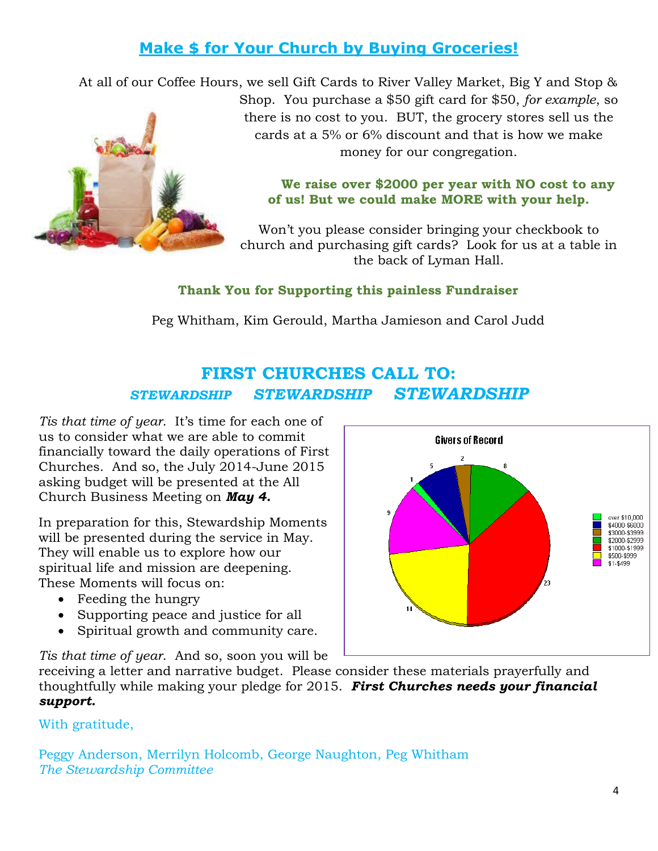#### **Make \$ for Your Church by Buying Groceries!**

At all of our Coffee Hours, we sell Gift Cards to River Valley Market, Big Y and Stop & Shop. You purchase a \$50 gift card for \$50, *for example*, so there is no cost to you. BUT, the grocery stores sell us the cards at a 5% or 6% discount and that is how we make money for our congregation.

#### **We raise over \$2000 per year with NO cost to any of us! But we could make MORE with your help.**

Won't you please consider bringing your checkbook to church and purchasing gift cards? Look for us at a table in the back of Lyman Hall.

#### **Thank You for Supporting this painless Fundraiser**

Peg Whitham, Kim Gerould, Martha Jamieson and Carol Judd

#### **FIRST CHURCHES CALL TO:** *STEWARDSHIP STEWARDSHIP STEWARDSHIP*

*Tis that time of year*. It's time for each one of us to consider what we are able to commit financially toward the daily operations of First Churches. And so, the July 2014-June 2015 asking budget will be presented at the All Church Business Meeting on *May 4.* 

In preparation for this, Stewardship Moments will be presented during the service in May. They will enable us to explore how our spiritual life and mission are deepening. These Moments will focus on:

- Feeding the hungry
- Supporting peace and justice for all
- Spiritual growth and community care.

*Tis that time of year*. And so, soon you will be

receiving a letter and narrative budget. Please consider these materials prayerfully and thoughtfully while making your pledge for 2015. *First Churches needs your financial support.* 

With gratitude,

Peggy Anderson, Merrilyn Holcomb, George Naughton, Peg Whitham *The Stewardship Committee* 



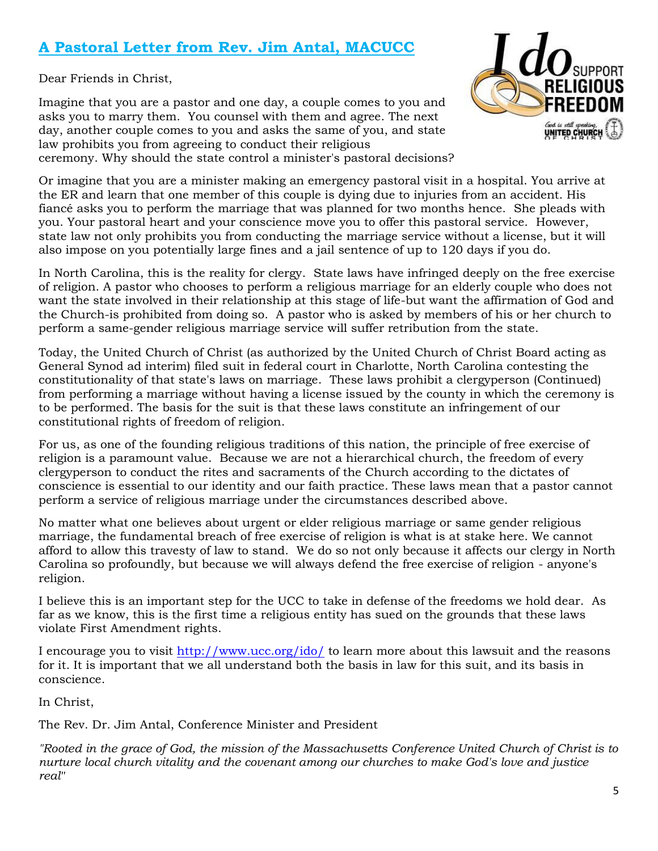#### **A Pastoral Letter from Rev. Jim Antal, MACUCC**

Dear Friends in Christ,

Imagine that you are a pastor and one day, a couple comes to you and asks you to marry them. You counsel with them and agree. The next day, another couple comes to you and asks the same of you, and state law prohibits you from agreeing to conduct their religious ceremony. Why should the state control a minister's pastoral decisions?



Or imagine that you are a minister making an emergency pastoral visit in a hospital. You arrive at the ER and learn that one member of this couple is dying due to injuries from an accident. His fiancé asks you to perform the marriage that was planned for two months hence. She pleads with you. Your pastoral heart and your conscience move you to offer this pastoral service. However, state law not only prohibits you from conducting the marriage service without a license, but it will also impose on you potentially large fines and a jail sentence of up to 120 days if you do.

In North Carolina, this is the reality for clergy. State laws have infringed deeply on the free exercise of religion. A pastor who chooses to perform a religious marriage for an elderly couple who does not want the state involved in their relationship at this stage of life-but want the affirmation of God and the Church-is prohibited from doing so. A pastor who is asked by members of his or her church to perform a same-gender religious marriage service will suffer retribution from the state.

Today, the United Church of Christ (as authorized by the United Church of Christ Board acting as General Synod ad interim) filed suit in federal court in Charlotte, North Carolina contesting the constitutionality of that state's laws on marriage. These laws prohibit a clergyperson (Continued) from performing a marriage without having a license issued by the county in which the ceremony is to be performed. The basis for the suit is that these laws constitute an infringement of our constitutional rights of freedom of religion.

For us, as one of the founding religious traditions of this nation, the principle of free exercise of religion is a paramount value. Because we are not a hierarchical church, the freedom of every clergyperson to conduct the rites and sacraments of the Church according to the dictates of conscience is essential to our identity and our faith practice. These laws mean that a pastor cannot perform a service of religious marriage under the circumstances described above.

No matter what one believes about urgent or elder religious marriage or same gender religious marriage, the fundamental breach of free exercise of religion is what is at stake here. We cannot afford to allow this travesty of law to stand. We do so not only because it affects our clergy in North Carolina so profoundly, but because we will always defend the free exercise of religion - anyone's religion.

I believe this is an important step for the UCC to take in defense of the freedoms we hold dear. As far as we know, this is the first time a religious entity has sued on the grounds that these laws violate First Amendment rights.

I encourage you to visit [http://www.ucc.org/ido/](http://r20.rs6.net/tn.jsp?f=0011XpL0CExkJr2AW6ZnuGKmhdGBwZDCd7k57g0L87Jo4_kFf226vgOWeFoAsaYxbxuzI8MgdtTnDTV6Hq1EDOQ4-J4R7xGJyQJio19uFW0KkBurzcJqOuY3C6zQufqM2JU2flvNmCXSN3lksrkvLHUuNcIA6v_UsVTlq2QbW7ezPM=&c=CwyB2cVY9RqZkn_7PXLEfOz6IeXzShLxd2ReICHd84c4RaRqhsuljw==&ch=0pwNSx47xIR9CQhpbTeS_43i4yK704-D9ua3JwrdtNiiaXGMWP2esg==) to learn more about this lawsuit and the reasons for it. It is important that we all understand both the basis in law for this suit, and its basis in conscience.

In Christ,

The Rev. Dr. Jim Antal, Conference Minister and President

*"Rooted in the grace of God, the mission of the Massachusetts Conference United Church of Christ is to nurture local church vitality and the covenant among our churches to make God's love and justice real"*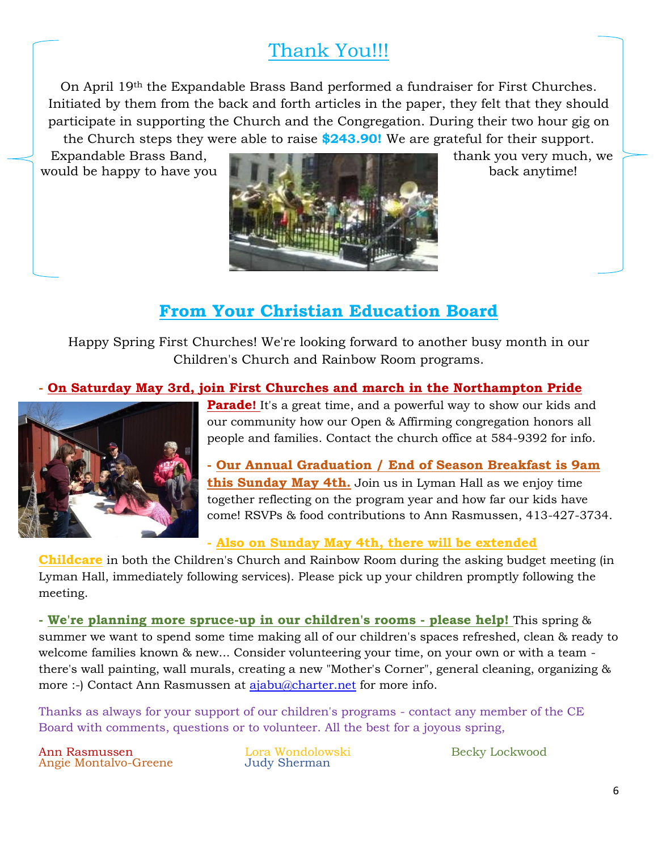### Thank You!!!

On April 19th the Expandable Brass Band performed a fundraiser for First Churches. Initiated by them from the back and forth articles in the paper, they felt that they should participate in supporting the Church and the Congregation. During their two hour gig on the Church steps they were able to raise **\$243.90!** We are grateful for their support.



#### **From Your Christian Education Board**

Happy Spring First Churches! We're looking forward to another busy month in our Children's Church and Rainbow Room programs.

#### **- On Saturday May 3rd, join First Churches and march in the Northampton Pride**



**Parade!** It's a great time, and a powerful way to show our kids and our community how our Open & Affirming congregation honors all people and families. Contact the church office at 584-9392 for info.

**- Our Annual Graduation / End of Season Breakfast is 9am this Sunday May 4th.** Join us in Lyman Hall as we enjoy time together reflecting on the program year and how far our kids have come! RSVPs & food contributions to Ann Rasmussen, 413-427-3734.

#### **- Also on Sunday May 4th, there will be extended**

**Childcare** in both the Children's Church and Rainbow Room during the asking budget meeting (in Lyman Hall, immediately following services). Please pick up your children promptly following the meeting.

**- We're planning more spruce-up in our children's rooms - please help!** This spring & summer we want to spend some time making all of our children's spaces refreshed, clean & ready to welcome families known & new... Consider volunteering your time, on your own or with a team there's wall painting, wall murals, creating a new "Mother's Corner", general cleaning, organizing & more :-) Contact Ann Rasmussen at [ajabu@charter.net](mailto:ajabu@charter.net) for more info.

Thanks as always for your support of our children's programs - contact any member of the CE Board with comments, questions or to volunteer. All the best for a joyous spring,

Ann Rasmussen Angie Montalvo-Greene

Lora Wondolowski Judy Sherman

Becky Lockwood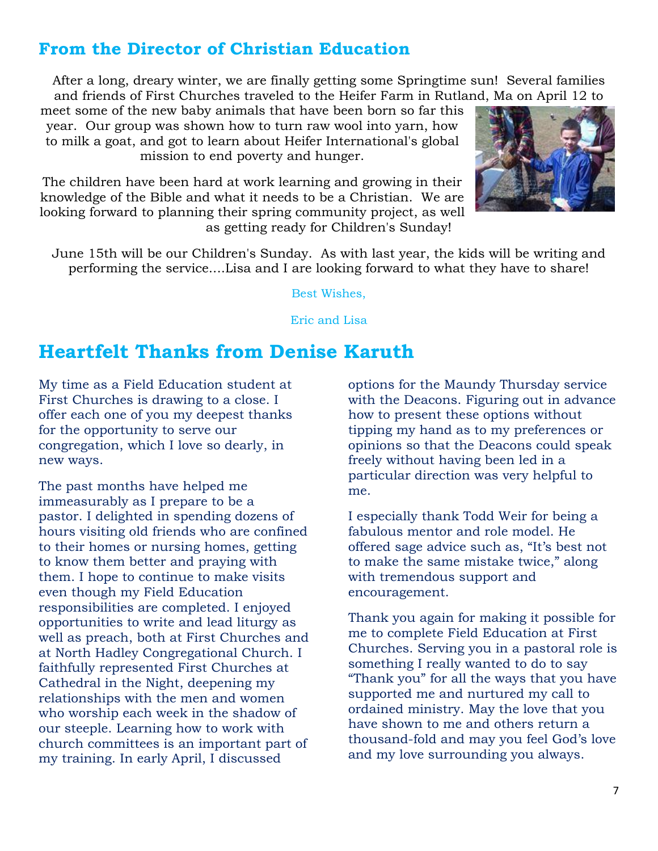#### **From the Director of Christian Education**

After a long, dreary winter, we are finally getting some Springtime sun! Several families and friends of First Churches traveled to the Heifer Farm in Rutland, Ma on April 12 to

meet some of the new baby animals that have been born so far this year. Our group was shown how to turn raw wool into yarn, how to milk a goat, and got to learn about Heifer International's global mission to end poverty and hunger.

The children have been hard at work learning and growing in their knowledge of the Bible and what it needs to be a Christian. We are looking forward to planning their spring community project, as well as getting ready for Children's Sunday!



June 15th will be our Children's Sunday. As with last year, the kids will be writing and performing the service....Lisa and I are looking forward to what they have to share!

Best Wishes,

Eric and Lisa

#### **Heartfelt Thanks from Denise Karuth**

My time as a Field Education student at First Churches is drawing to a close. I offer each one of you my deepest thanks for the opportunity to serve our congregation, which I love so dearly, in new ways.

The past months have helped me immeasurably as I prepare to be a pastor. I delighted in spending dozens of hours visiting old friends who are confined to their homes or nursing homes, getting to know them better and praying with them. I hope to continue to make visits even though my Field Education responsibilities are completed. I enjoyed opportunities to write and lead liturgy as well as preach, both at First Churches and at North Hadley Congregational Church. I faithfully represented First Churches at Cathedral in the Night, deepening my relationships with the men and women who worship each week in the shadow of our steeple. Learning how to work with church committees is an important part of my training. In early April, I discussed

options for the Maundy Thursday service with the Deacons. Figuring out in advance how to present these options without tipping my hand as to my preferences or opinions so that the Deacons could speak freely without having been led in a particular direction was very helpful to me.

I especially thank Todd Weir for being a fabulous mentor and role model. He offered sage advice such as, "It's best not to make the same mistake twice," along with tremendous support and encouragement.

Thank you again for making it possible for me to complete Field Education at First Churches. Serving you in a pastoral role is something I really wanted to do to say "Thank you" for all the ways that you have supported me and nurtured my call to ordained ministry. May the love that you have shown to me and others return a thousand-fold and may you feel God's love and my love surrounding you always.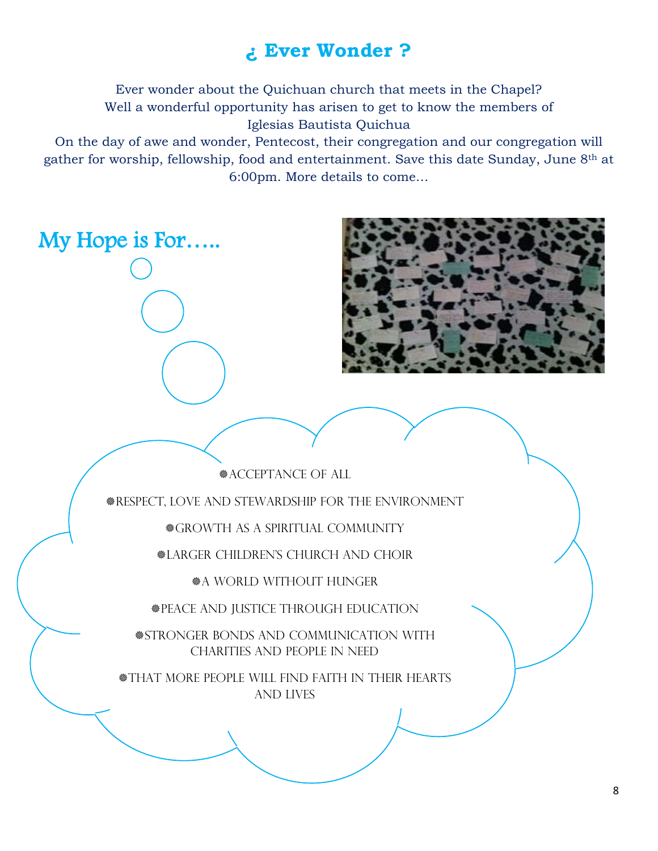#### **¿ Ever Wonder ?**

Ever wonder about the Quichuan church that meets in the Chapel? Well a wonderful opportunity has arisen to get to know the members of Iglesias Bautista Quichua

On the day of awe and wonder, Pentecost, their congregation and our congregation will gather for worship, fellowship, food and entertainment. Save this date Sunday, June 8th at 6:00pm. More details to come…

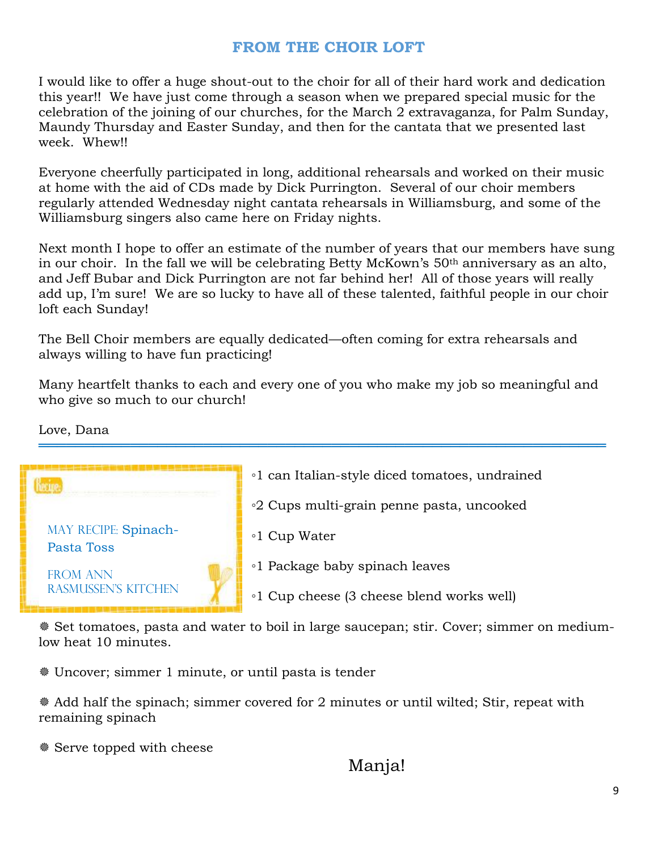#### **FROM THE CHOIR LOFT**

I would like to offer a huge shout-out to the choir for all of their hard work and dedication this year!! We have just come through a season when we prepared special music for the celebration of the joining of our churches, for the March 2 extravaganza, for Palm Sunday, Maundy Thursday and Easter Sunday, and then for the cantata that we presented last week. Whew!!

Everyone cheerfully participated in long, additional rehearsals and worked on their music at home with the aid of CDs made by Dick Purrington. Several of our choir members regularly attended Wednesday night cantata rehearsals in Williamsburg, and some of the Williamsburg singers also came here on Friday nights.

Next month I hope to offer an estimate of the number of years that our members have sung in our choir. In the fall we will be celebrating Betty McKown's 50<sup>th</sup> anniversary as an alto, and Jeff Bubar and Dick Purrington are not far behind her! All of those years will really add up, I'm sure! We are so lucky to have all of these talented, faithful people in our choir loft each Sunday!

The Bell Choir members are equally dedicated—often coming for extra rehearsals and always willing to have fun practicing!

Many heartfelt thanks to each and every one of you who make my job so meaningful and who give so much to our church!

══════════════════════════════════════════════════════════════

Love, Dana



 Set tomatoes, pasta and water to boil in large saucepan; stir. Cover; simmer on mediumlow heat 10 minutes.

Uncover; simmer 1 minute, or until pasta is tender

 Add half the spinach; simmer covered for 2 minutes or until wilted; Stir, repeat with remaining spinach

Serve topped with cheese

#### Manja!